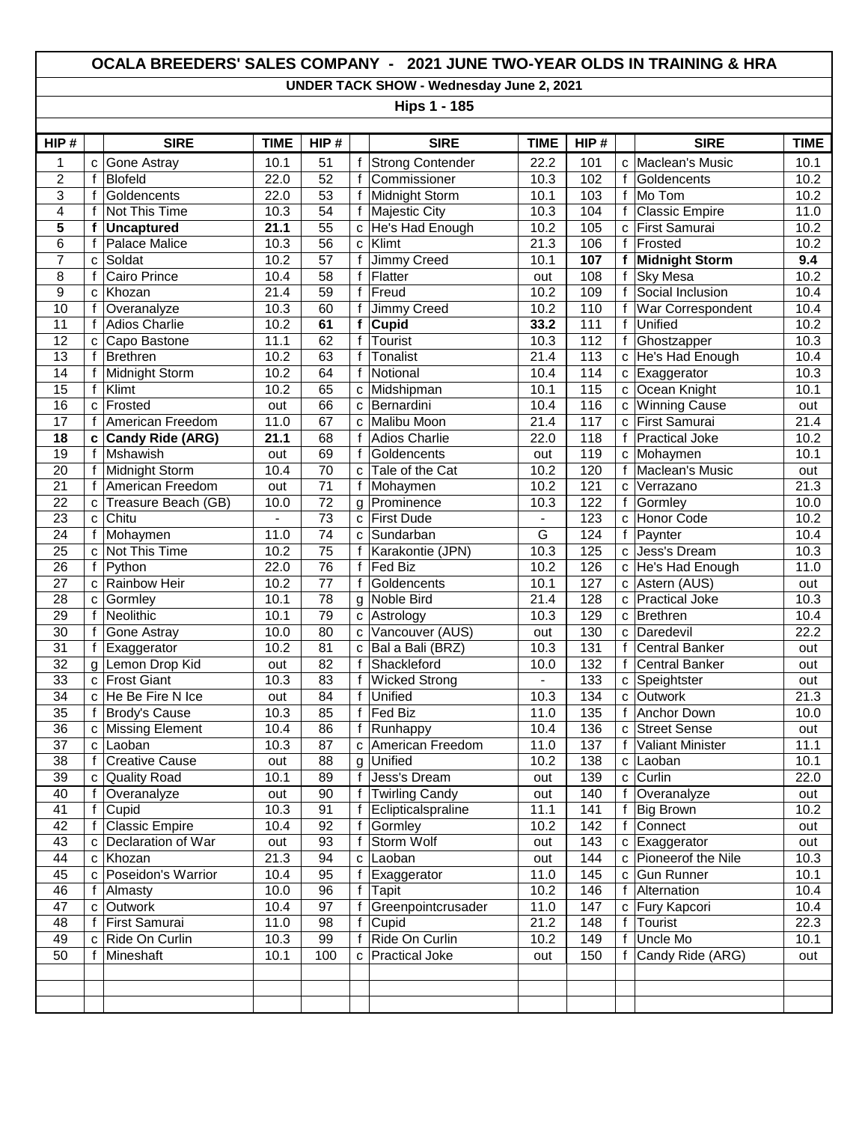## **OCALA BREEDERS' SALES COMPANY - 2021 JUNE TWO-YEAR OLDS IN TRAINING & HRA**

**UNDER TACK SHOW - Wednesday June 2, 2021**

**Hips 1 - 185**

| HIP#            |              | <b>SIRE</b>             | <b>TIME</b>    | HIP#            |              | <b>SIRE</b>             | <b>TIME</b>       | HIP#             |              | <b>SIRE</b>           | <b>TIME</b>       |
|-----------------|--------------|-------------------------|----------------|-----------------|--------------|-------------------------|-------------------|------------------|--------------|-----------------------|-------------------|
| 1               | C            | <b>Gone Astray</b>      | 10.1           | 51              | f            | <b>Strong Contender</b> | 22.2              | 101              | C            | Maclean's Music       | 10.1              |
| $\overline{c}$  | f            | <b>Blofeld</b>          | 22.0           | 52              | $\mathbf f$  | Commissioner            | 10.3              | 102              | $\mathsf{f}$ | Goldencents           | 10.2              |
| 3               | f            | Goldencents             | 22.0           | 53              | $\mathbf f$  | Midnight Storm          | 10.1              | 103              | $\mathsf{f}$ | Mo Tom                | 10.2              |
| 4               | f            | Not This Time           | 10.3           | $\overline{54}$ | f            | Majestic City           | 10.3              | 104              | $\mathsf{f}$ | <b>Classic Empire</b> | 11.0              |
| 5               | f            | <b>Uncaptured</b>       | 21.1           | 55              | C            | He's Had Enough         | 10.2              | 105              | C            | First Samurai         | 10.2              |
| 6               | f            | Palace Malice           | 10.3           | $\overline{56}$ | $\mathbf{C}$ | Klimt                   | $\overline{21.3}$ | 106              | $\mathsf{f}$ | Frosted               | 10.2              |
| $\overline{7}$  | C            | Soldat                  | 10.2           | 57              | f            | Jimmy Creed             | 10.1              | 107              | f            | <b>Midnight Storm</b> | 9.4               |
| 8               | f            | Cairo Prince            | 10.4           | 58              | f            | Flatter                 | out               | 108              | $\mathsf{f}$ | <b>Sky Mesa</b>       | 10.2              |
| 9               | C            | Khozan                  | 21.4           | 59              | f            | Freud                   | 10.2              | 109              | $\mathbf f$  | Social Inclusion      | 10.4              |
| 10              | f            | Overanalyze             | 10.3           | 60              | f            | Jimmy Creed             | 10.2              | 110              | $\mathsf{f}$ | War Correspondent     | 10.4              |
| $\overline{11}$ | f            | <b>Adios Charlie</b>    | 10.2           | 61              | f            | Cupid                   | 33.2              | $\frac{111}{11}$ | $\mathsf{f}$ | Unified               | 10.2              |
| 12              | C            | Capo Bastone            | 11.1           | 62              | $\mathbf f$  | Tourist                 | 10.3              | 112              | $\mathsf{f}$ | Ghostzapper           | 10.3              |
| 13              | f            | <b>Brethren</b>         | 10.2           | 63              | $\mathbf f$  | Tonalist                | 21.4              | 113              | C            | He's Had Enough       | 10.4              |
| 14              | f            | Midnight Storm          | 10.2           | 64              | $\mathsf{f}$ | Notional                | 10.4              | 114              | c            | Exaggerator           | 10.3              |
| 15              | f            | Klimt                   | 10.2           | 65              | C            | Midshipman              | 10.1              | 115              | C            | Ocean Knight          | 10.1              |
| 16              | C            | Frosted                 | out            | 66              | C            | Bernardini              | 10.4              | 116              | C            | <b>Winning Cause</b>  | out               |
| 17              | f            | American Freedom        | 11.0           | 67              | C            | Malibu Moon             | 21.4              | 117              | C            | First Samurai         | 21.4              |
| 18              | C            | <b>Candy Ride (ARG)</b> | 21.1           | 68              | f            | Adios Charlie           | 22.0              | 118              | $\mathsf{f}$ | <b>Practical Joke</b> | 10.2              |
| 19              | f            | Mshawish                | out            | 69              | f            | Goldencents             | out               | 119              | c            | Mohaymen              | 10.1              |
| 20              | f            | Midnight Storm          | 10.4           | 70              | $\mathbf{C}$ | Tale of the Cat         | 10.2              | 120              | $\mathsf{f}$ | Maclean's Music       | out               |
| $\overline{21}$ | f            | American Freedom        | out            | $\overline{71}$ | f            | Mohaymen                | 10.2              | 121              | C            | Verrazano             | 21.3              |
| 22              | $\mathbf{C}$ | Treasure Beach (GB)     | 10.0           | 72              | g            | Prominence              | 10.3              | 122              | $\mathsf{f}$ | Gormley               | 10.0              |
| $\overline{23}$ | $\mathbf C$  | Chitu                   | $\blacksquare$ | $\overline{73}$ |              | c First Dude            | $\blacksquare$    | 123              | C            | <b>Honor Code</b>     | 10.2              |
| 24              | f            | Mohaymen                | 11.0           | 74              | C            | Sundarban               | G                 | 124              | $\mathsf{f}$ | Paynter               | 10.4              |
| 25              | C            | Not This Time           | 10.2           | 75              | f            | Karakontie (JPN)        | 10.3              | 125              | C            | Jess's Dream          | 10.3              |
| $\overline{26}$ | f            | Python                  | 22.0           | $\overline{76}$ | f            | Fed Biz                 | 10.2              | 126              | C            | He's Had Enough       | 11.0              |
| 27              | C            | Rainbow Heir            | 10.2           | 77              | $\mathsf{f}$ | Goldencents             | 10.1              | 127              | C            | Astern (AUS)          | out               |
| 28              | $\mathbf C$  | Gormley                 | 10.1           | 78              | g            | Noble Bird              | $\overline{21.4}$ | 128              | C            | <b>Practical Joke</b> | 10.3              |
| 29              | f            | Neolithic               | 10.1           | 79              |              | c Astrology             | 10.3              | 129              | C            | Brethren              | $\overline{10.4}$ |
| 30              | f            | Gone Astray             | 10.0           | 80              | C            | Vancouver (AUS)         | out               | 130              | C            | Daredevil             | 22.2              |
| $\overline{31}$ | f            | Exaggerator             | 10.2           | $\overline{81}$ | $\mathbf c$  | Bal a Bali (BRZ)        | 10.3              | 131              | $\mathsf{f}$ | <b>Central Banker</b> | out               |
| 32              | g            | Lemon Drop Kid          | out            | 82              | $\mathbf{f}$ | Shackleford             | 10.0              | 132              | $\mathsf{f}$ | <b>Central Banker</b> | out               |
| 33              | C            | <b>Frost Giant</b>      | 10.3           | 83              | $\mathsf{f}$ | <b>Wicked Strong</b>    | $\blacksquare$    | 133              | c            | Speightster           | out               |
| 34              | C            | He Be Fire N Ice        | out            | 84              | $\mathbf f$  | Unified                 | 10.3              | 134              | C            | Outwork               | 21.3              |
| 35              | f            | <b>Brody's Cause</b>    | 10.3           | 85              | $\mathsf{f}$ | Fed Biz                 | 11.0              | 135              | $\mathsf{f}$ | Anchor Down           | 10.0              |
| $\overline{36}$ | C            | <b>Missing Element</b>  | 10.4           | 86              | f            | Runhappy                | 10.4              | 136              | C            | <b>Street Sense</b>   | out               |
| 37              | C            | Laoban                  | 10.3           | 87              | C            | American Freedom        | 11.0              | 137              | f            | Valiant Minister      | 11.1              |
| $\overline{38}$ | f            | <b>Creative Cause</b>   | out            | 88              | g            | Unified                 | 10.2              | 138              | C            | Laoban                | 10.1              |
| 39              |              | c Quality Road          | 10.1           | 89              | f            | Jess's Dream            | out               | 139              |              | $c$ Curlin            | 22.0              |
| 40              |              | Overanalyze             | out            | 90              | f            | <b>Twirling Candy</b>   | out               | 140              | f            | Overanalyze           | out               |
| 41              | f            | $C$ upid                | 10.3           | 91              | f            | Eclipticalspraline      | 11.1              | 141              |              | <b>Big Brown</b>      | 10.2              |
| 42              | f            | <b>Classic Empire</b>   | 10.4           | 92              | $\mathsf f$  | Gormley                 | 10.2              | 142              | $\mathsf{f}$ | Connect               | out               |
| 43              | C            | Declaration of War      | out            | 93              | $\mathsf{f}$ | Storm Wolf              | out               | 143              | C            | Exaggerator           | out               |
| 44              | C            | Khozan                  | 21.3           | 94              |              | c Laoban                | out               | 144              | C            | Pioneerof the Nile    | 10.3              |
| 45              | C            | Poseidon's Warrior      | 10.4           | 95              | f            | Exaggerator             | 11.0              | 145              | C            | <b>Gun Runner</b>     | 10.1              |
| 46              |              | Almasty                 | 10.0           | $\overline{96}$ | f            | Tapit                   | 10.2              | 146              | f            | Alternation           | 10.4              |
| 47              | c            | Outwork                 | 10.4           | 97              | $\mathsf{f}$ | Greenpointcrusader      | 11.0              | 147              | C            | Fury Kapcori          | 10.4              |
| 48              | f            | First Samurai           | 11.0           | 98              | f            | Cupid                   | 21.2              | 148              | f            | Tourist               | 22.3              |
| 49              | C            | Ride On Curlin          | 10.3           | 99              | f            | Ride On Curlin          | 10.2              | 149              | f            | Uncle Mo              | 10.1              |
| 50              |              | Mineshaft               | 10.1           | 100             | C            | <b>Practical Joke</b>   | out               | 150              | f            | Candy Ride (ARG)      | out               |
|                 |              |                         |                |                 |              |                         |                   |                  |              |                       |                   |
|                 |              |                         |                |                 |              |                         |                   |                  |              |                       |                   |
|                 |              |                         |                |                 |              |                         |                   |                  |              |                       |                   |